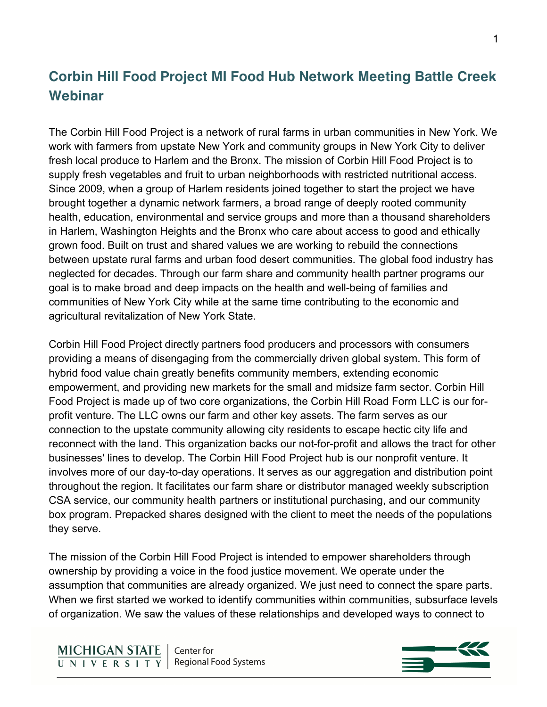## **Corbin Hill Food Project MI Food Hub Network Meeting Battle Creek Webinar**

The Corbin Hill Food Project is a network of rural farms in urban communities in New York. We work with farmers from upstate New York and community groups in New York City to deliver fresh local produce to Harlem and the Bronx. The mission of Corbin Hill Food Project is to supply fresh vegetables and fruit to urban neighborhoods with restricted nutritional access. Since 2009, when a group of Harlem residents joined together to start the project we have brought together a dynamic network farmers, a broad range of deeply rooted community health, education, environmental and service groups and more than a thousand shareholders in Harlem, Washington Heights and the Bronx who care about access to good and ethically grown food. Built on trust and shared values we are working to rebuild the connections between upstate rural farms and urban food desert communities. The global food industry has neglected for decades. Through our farm share and community health partner programs our goal is to make broad and deep impacts on the health and well-being of families and communities of New York City while at the same time contributing to the economic and agricultural revitalization of New York State.

Corbin Hill Food Project directly partners food producers and processors with consumers providing a means of disengaging from the commercially driven global system. This form of hybrid food value chain greatly benefits community members, extending economic empowerment, and providing new markets for the small and midsize farm sector. Corbin Hill Food Project is made up of two core organizations, the Corbin Hill Road Form LLC is our forprofit venture. The LLC owns our farm and other key assets. The farm serves as our connection to the upstate community allowing city residents to escape hectic city life and reconnect with the land. This organization backs our not-for-profit and allows the tract for other businesses' lines to develop. The Corbin Hill Food Project hub is our nonprofit venture. It involves more of our day-to-day operations. It serves as our aggregation and distribution point throughout the region. It facilitates our farm share or distributor managed weekly subscription CSA service, our community health partners or institutional purchasing, and our community box program. Prepacked shares designed with the client to meet the needs of the populations they serve.

The mission of the Corbin Hill Food Project is intended to empower shareholders through ownership by providing a voice in the food justice movement. We operate under the assumption that communities are already organized. We just need to connect the spare parts. When we first started we worked to identify communities within communities, subsurface levels of organization. We saw the values of these relationships and developed ways to connect to

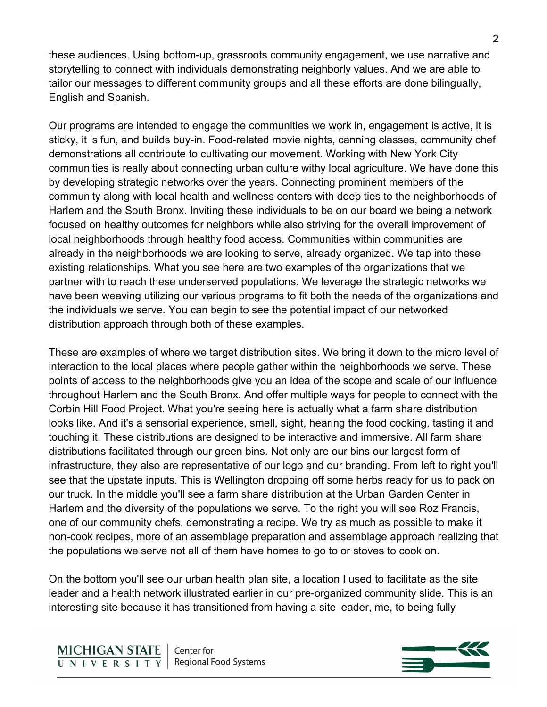these audiences. Using bottom-up, grassroots community engagement, we use narrative and storytelling to connect with individuals demonstrating neighborly values. And we are able to tailor our messages to different community groups and all these efforts are done bilingually, English and Spanish.

Our programs are intended to engage the communities we work in, engagement is active, it is sticky, it is fun, and builds buy-in. Food-related movie nights, canning classes, community chef demonstrations all contribute to cultivating our movement. Working with New York City communities is really about connecting urban culture withy local agriculture. We have done this by developing strategic networks over the years. Connecting prominent members of the community along with local health and wellness centers with deep ties to the neighborhoods of Harlem and the South Bronx. Inviting these individuals to be on our board we being a network focused on healthy outcomes for neighbors while also striving for the overall improvement of local neighborhoods through healthy food access. Communities within communities are already in the neighborhoods we are looking to serve, already organized. We tap into these existing relationships. What you see here are two examples of the organizations that we partner with to reach these underserved populations. We leverage the strategic networks we have been weaving utilizing our various programs to fit both the needs of the organizations and the individuals we serve. You can begin to see the potential impact of our networked distribution approach through both of these examples.

These are examples of where we target distribution sites. We bring it down to the micro level of interaction to the local places where people gather within the neighborhoods we serve. These points of access to the neighborhoods give you an idea of the scope and scale of our influence throughout Harlem and the South Bronx. And offer multiple ways for people to connect with the Corbin Hill Food Project. What you're seeing here is actually what a farm share distribution looks like. And it's a sensorial experience, smell, sight, hearing the food cooking, tasting it and touching it. These distributions are designed to be interactive and immersive. All farm share distributions facilitated through our green bins. Not only are our bins our largest form of infrastructure, they also are representative of our logo and our branding. From left to right you'll see that the upstate inputs. This is Wellington dropping off some herbs ready for us to pack on our truck. In the middle you'll see a farm share distribution at the Urban Garden Center in Harlem and the diversity of the populations we serve. To the right you will see Roz Francis, one of our community chefs, demonstrating a recipe. We try as much as possible to make it non-cook recipes, more of an assemblage preparation and assemblage approach realizing that the populations we serve not all of them have homes to go to or stoves to cook on.

On the bottom you'll see our urban health plan site, a location I used to facilitate as the site leader and a health network illustrated earlier in our pre-organized community slide. This is an interesting site because it has transitioned from having a site leader, me, to being fully

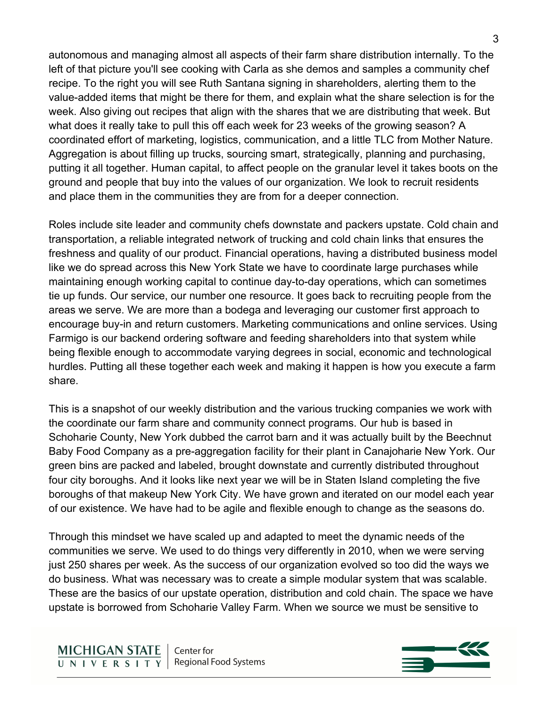autonomous and managing almost all aspects of their farm share distribution internally. To the left of that picture you'll see cooking with Carla as she demos and samples a community chef recipe. To the right you will see Ruth Santana signing in shareholders, alerting them to the value-added items that might be there for them, and explain what the share selection is for the week. Also giving out recipes that align with the shares that we are distributing that week. But what does it really take to pull this off each week for 23 weeks of the growing season? A coordinated effort of marketing, logistics, communication, and a little TLC from Mother Nature. Aggregation is about filling up trucks, sourcing smart, strategically, planning and purchasing, putting it all together. Human capital, to affect people on the granular level it takes boots on the ground and people that buy into the values of our organization. We look to recruit residents and place them in the communities they are from for a deeper connection.

Roles include site leader and community chefs downstate and packers upstate. Cold chain and transportation, a reliable integrated network of trucking and cold chain links that ensures the freshness and quality of our product. Financial operations, having a distributed business model like we do spread across this New York State we have to coordinate large purchases while maintaining enough working capital to continue day-to-day operations, which can sometimes tie up funds. Our service, our number one resource. It goes back to recruiting people from the areas we serve. We are more than a bodega and leveraging our customer first approach to encourage buy-in and return customers. Marketing communications and online services. Using Farmigo is our backend ordering software and feeding shareholders into that system while being flexible enough to accommodate varying degrees in social, economic and technological hurdles. Putting all these together each week and making it happen is how you execute a farm share.

This is a snapshot of our weekly distribution and the various trucking companies we work with the coordinate our farm share and community connect programs. Our hub is based in Schoharie County, New York dubbed the carrot barn and it was actually built by the Beechnut Baby Food Company as a pre-aggregation facility for their plant in Canajoharie New York. Our green bins are packed and labeled, brought downstate and currently distributed throughout four city boroughs. And it looks like next year we will be in Staten Island completing the five boroughs of that makeup New York City. We have grown and iterated on our model each year of our existence. We have had to be agile and flexible enough to change as the seasons do.

Through this mindset we have scaled up and adapted to meet the dynamic needs of the communities we serve. We used to do things very differently in 2010, when we were serving just 250 shares per week. As the success of our organization evolved so too did the ways we do business. What was necessary was to create a simple modular system that was scalable. These are the basics of our upstate operation, distribution and cold chain. The space we have upstate is borrowed from Schoharie Valley Farm. When we source we must be sensitive to